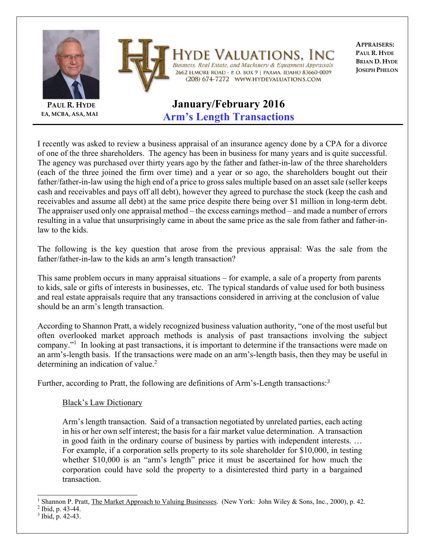

**APPRAISERS: PAUL R. HYDE BRIAN D. HYDE JOSEPH PHELON**

## **Arm's Length Transactions**

I recently was asked to review a business appraisal of an insurance agency done by a CPA for a divorce of one of the three shareholders. The agency has been in business for many years and is quite successful. The agency was purchased over thirty years ago by the father and father-in-law of the three shareholders (each of the three joined the firm over time) and a year or so ago, the shareholders bought out their father/father-in-law using the high end of a price to gross sales multiple based on an asset sale (seller keeps cash and receivables and pays off all debt), however they agreed to purchase the stock (keep the cash and receivables and assume all debt) at the same price despite there being over \$1 million in long-term debt. The appraiser used only one appraisal method – the excess earnings method – and made a number of errors resulting in a value that unsurprisingly came in about the same price as the sale from father and father-inlaw to the kids.

The following is the key question that arose from the previous appraisal: Was the sale from the father/father-in-law to the kids an arm's length transaction?

This same problem occurs in many appraisal situations – for example, a sale of a property from parents to kids, sale or gifts of interests in businesses, etc. The typical standards of value used for both business and real estate appraisals require that any transactions considered in arriving at the conclusion of value should be an arm's length transaction.

According to Shannon Pratt, a widely recognized business valuation authority, "one of the most useful but often overlooked market approach methods is analysis of past transactions involving the subject company."<sup>1</sup> In looking at past transactions, it is important to determine if the transactions were made on an arm's-length basis. If the transactions were made on an arm's-length basis, then they may be useful in determining an indication of value.<sup>2</sup>

Further, according to Pratt, the following are definitions of Arm's-Length transactions:*<sup>3</sup>*

## Black's Law Dictionary

Arm's length transaction. Said of a transaction negotiated by unrelated parties, each acting in his or her own self interest; the basis for a fair market value determination. A transaction in good faith in the ordinary course of business by parties with independent interests. … For example, if a corporation sells property to its sole shareholder for \$10,000, in testing whether \$10,000 is an "arm's length" price it must be ascertained for how much the corporation could have sold the property to a disinterested third party in a bargained transaction.

**EA, MCBA, ASA, MAI**

 $\overline{a}$ 1 Shannon P. Pratt, The Market Approach to Valuing Businesses. (New York: John Wiley & Sons, Inc., 2000), p. 42.

<sup>&</sup>lt;sup>2</sup> Ibid, p. 43-44.

<sup>3</sup> Ibid, p. 42-43.